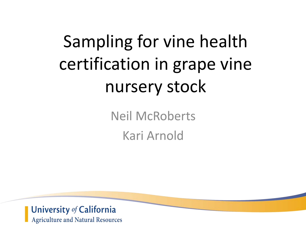# Sampling for vine health certification in grape vine nursery stock

Neil McRoberts Kari Arnold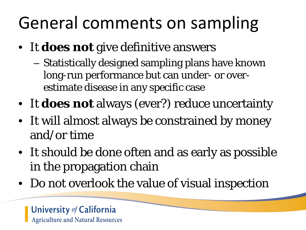# General comments on sampling

- It **does not** give definitive answers
	- Statistically designed sampling plans have known long-run performance but can under- or overestimate disease in any specific case
- It **does not** always (ever?) reduce uncertainty
- It will almost always be constrained by money and/or time
- It should be done often and as early as possible in the propagation chain
- Do not overlook the value of visual inspection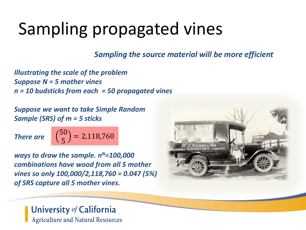# Sampling propagated vines

*Sampling the source material will be more efficient*

*Illustrating the scale of the problem Suppose N = 5 mother vines n = 10 budsticks from each = 50 propagated vines*

*Suppose we want to take Simple Random Sample (SRS) of m = 5 sticks*

*There are*

$$
\binom{50}{5} = 2,118,760
$$

*ways to draw the sample.*  $n^N=100,000$ *combinations have wood from all 5 mother vines so only 100,000/2,118,760 = 0.047 (5%) of SRS capture all 5 mother vines.* 

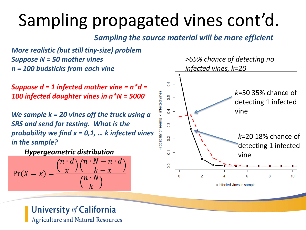# Sampling propagated vines cont'd.

*Sampling the source material will be more efficient*

*More realistic (but still tiny-size) problem Suppose N = 50 mother vines n = 100 budsticks from each vine*

*Suppose d = 1 infected mother vine = n\*d = 100 infected daughter vines in n\*N = 5000*

*We sample k = 20 vines off the truck using a SRS and send for testing. What is the probability we find x = 0,1, … k infected vines in the sample?*

*Hypergeometric distribution*

$$
\Pr(X = x) = \frac{\binom{n \cdot d}{x} \binom{n \cdot N - n \cdot d}{k - x}}{\binom{n \cdot N}{k}}
$$

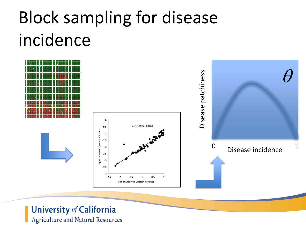# Block sampling for disease incidence

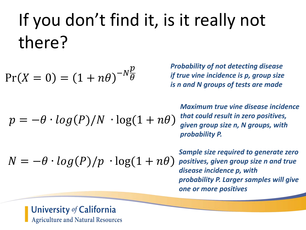# If you don't find it, is it really not there?

$$
Pr(X = 0) = (1 + n\theta)^{-N\frac{p}{\theta}}
$$

*Probability of not detecting disease if true vine incidence is p, group size is n and N groups of tests are made*

*Maximum true vine disease incidence that could result in zero positives, given group size n, N groups, with probability P.*

 $N = -\theta \cdot log(P)/p \cdot log(1 + n\theta)$ 

 $p = -\theta \cdot log(P)/N \cdot log(1 + n\theta)$ 

*Sample size required to generate zero positives, given group size n and true disease incidence p, with probability P. Larger samples will give one or more positives*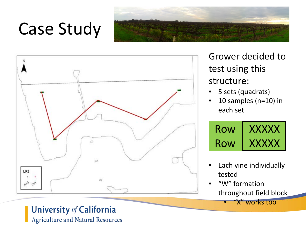# Case Study





Grower decided to test using this structure:

- 5 sets (quadrats)
- 10 samples (n=10) in each set



- Each vine individually tested
- "W" formation throughout field block

"X" works too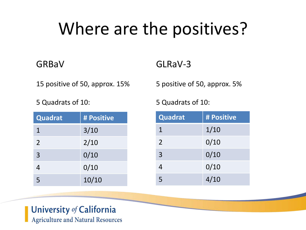# Where are the positives?

## **GRBaV**

15 positive of 50, approx. 15%

5 Quadrats of 10:

| Quadrat        | # Positive |
|----------------|------------|
| $\mathbf 1$    | 3/10       |
| 2              | 2/10       |
| $\overline{3}$ | 0/10       |
| 4              | 0/10       |
| 5              | 10/10      |

## GLRaV-3

5 positive of 50, approx. 5%

5 Quadrats of 10:

| Quadrat     | # Positive |
|-------------|------------|
| $\mathbf 1$ | 1/10       |
| 2           | 0/10       |
| 3           | 0/10       |
| 4           | 0/10       |
| 5           | 4/10       |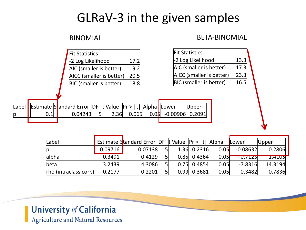## GLRaV-3 in the given samples

### **BINOMIAL**

| BETA-BINOMIAL |  |
|---------------|--|
|---------------|--|

| Fit Statistics                 |      |  |  |  |  |  |
|--------------------------------|------|--|--|--|--|--|
| -2 Log Likelihood              | 17.2 |  |  |  |  |  |
| AIC (smaller is better)        |      |  |  |  |  |  |
| AICC (smaller is better)       | 20.5 |  |  |  |  |  |
| <b>BIC</b> (smaller is better) | 18 R |  |  |  |  |  |

| <b>Fit Statistics</b>          |      |
|--------------------------------|------|
| -2 Log Likelihood              | 13.3 |
| AIC (smaller is better)        | 17.3 |
| AICC (smaller is better)       | 23.3 |
| <b>BIC</b> (smaller is better) | 16.5 |

|   | Label Estimate Standard Error DF t Value $Pr$ > 1t   Alpha Lower |  |  |                                   | $\bigcup$ pper |
|---|------------------------------------------------------------------|--|--|-----------------------------------|----------------|
| p | 0.04243                                                          |  |  | $2.36$ 0.065 0.05 -0.00906 0.2091 |                |
|   |                                                                  |  |  |                                   |                |

| Label                  |         | Estimate Standard Error DF t Value Pr >  t   Alpha |  |               |      | Lower      | $\bigcup$ pper |
|------------------------|---------|----------------------------------------------------|--|---------------|------|------------|----------------|
|                        | 0.09716 | 0.07138                                            |  | $1.36$ 0.2316 | 0.05 | $-0.08632$ | 0.2806         |
| alpha                  | 0.3491  | 0.4129                                             |  | $0.85$ 0.4364 | 0.05 | -U. / 1231 | <b>1.4105</b>  |
| beta                   | 3.2439  | 4.3086                                             |  | $0.75$ 0.4854 | 0.05 | $-7.8316$  | 14.3194        |
| rho (intraclass corr.) | 0.2177  | 0.2201                                             |  | $0.99$ 0.3681 | 0.05 | $-0.3482$  | 0.7836         |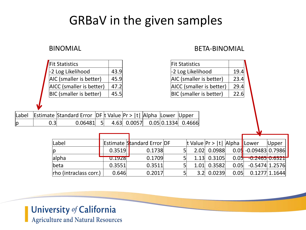## GRBaV in the given samples

| <b>Fit Statistics</b>          |      |
|--------------------------------|------|
| -2 Log Likelihood              | 43.9 |
| AIC (smaller is better)        | 45.9 |
| AICC (smaller is better)       | 47.2 |
| <b>BIC</b> (smaller is better) |      |

### BINOMIAL BETA-BINOMIAL

|       | <b>Fit Statistics</b><br>-2 Log Likelihood |                         |                                            |        |              |        |        |                                   | <b>Fit Statistics</b> |        |                       |                                    |      |                   |                 |  |
|-------|--------------------------------------------|-------------------------|--------------------------------------------|--------|--------------|--------|--------|-----------------------------------|-----------------------|--------|-----------------------|------------------------------------|------|-------------------|-----------------|--|
|       |                                            |                         |                                            |        | 43.9         |        |        |                                   | -2 Log Likelihood     |        |                       |                                    | 19.4 |                   |                 |  |
|       |                                            | AIC (smaller is better) |                                            |        | 45.9         |        |        |                                   |                       |        |                       | AIC (smaller is better)            | 23.4 |                   |                 |  |
|       | AICC (smaller is better)                   |                         |                                            | 47.2   |              |        |        | AICC (smaller is better)          |                       |        | 29.4                  |                                    |      |                   |                 |  |
|       |                                            |                         | <b>BIC</b> (smaller is better)             |        | 45.5         |        |        |                                   |                       |        |                       | BIC (smaller is better)            | 22.6 |                   |                 |  |
|       |                                            |                         |                                            |        |              |        |        |                                   |                       |        |                       |                                    |      |                   |                 |  |
| Label |                                            |                         | Estimate Standard Error DF t Value Pr >  t |        |              |        |        | Alpha                             | Lower                 |        | $U$ pper              |                                    |      |                   |                 |  |
| p     |                                            | 0.3                     | 0.06481                                    |        | $\mathsf{S}$ | 4.63   | 0.0057 | 0.05 0.1334                       |                       |        | 0.4666                |                                    |      |                   |                 |  |
|       |                                            |                         |                                            |        |              |        |        |                                   |                       |        |                       |                                    |      |                   |                 |  |
|       |                                            |                         |                                            |        |              |        |        |                                   |                       |        |                       |                                    |      |                   |                 |  |
|       |                                            |                         | Label                                      |        |              |        |        | <b>Estimate Standard Error DF</b> |                       |        |                       | t Value $ Pr$ >  t   Alpha   Lower |      |                   | Upper           |  |
|       |                                            |                         |                                            |        |              | 0.3519 |        | 0.1738                            |                       |        | 51<br>2.02            | 0.0988                             | 0.05 | $-0.09483$ 0.7986 |                 |  |
|       | alpha<br>lbeta                             |                         |                                            | 0.1928 |              | 0.1709 |        | 5 <sub>l</sub>                    | 1.13                  | 0.3105 | 0.05                  | $-0.2465 0.6321$                   |      |                   |                 |  |
|       |                                            |                         |                                            | 0.3551 |              | 0.3511 |        | 5 <sub>1</sub>                    | 1.01                  | 0.3582 | 0.05                  | $-0.5474$ 1.2576                   |      |                   |                 |  |
|       |                                            |                         | rho (intraclass corr.)                     |        |              | 0.646  |        | 0.2017                            |                       |        | 5 <sub>l</sub><br>3.2 | 0.0239                             | 0.05 |                   | $0.1277$ 1.1644 |  |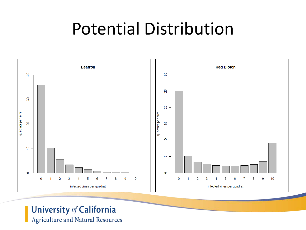# Potential Distribution

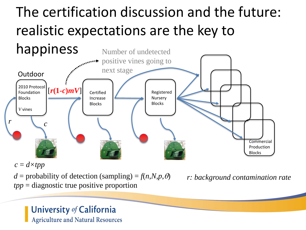# The certification discussion and the future: realistic expectations are the key to



 $c = d \times tpp$ 

 $d =$  probability of detection (sampling) =  $f(n,N,p,\theta)$ *tpp* = diagnostic true positive proportion

*r: background contamination rate*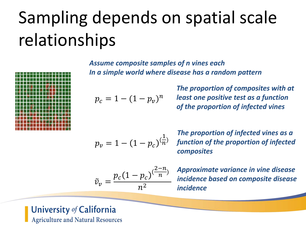# Sampling depends on spatial scale relationships



*Assume composite samples of n vines each In a simple world where disease has a random pattern*

$$
p_c = 1 - (1 - p_v)^n
$$

*The proportion of composites with at least one positive test as a function of the proportion of infected vines*

$$
p_v = 1 - (1 - p_c)^{(\frac{1}{n})}
$$

*The proportion of infected vines as a function of the proportion of infected composites*

$$
\tilde{v}_v = \frac{p_c (1 - p_c)^{\left(\frac{2 - n}{n}\right)}}{n^2}
$$

*Approximate variance in vine disease incidence based on composite disease incidence*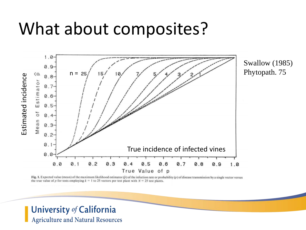# What about composites?



Fig. 1. Expected value (mean) of the maximum likelihood estimator  $(\hat{p})$  of the infection rate or probability  $(p)$  of disease transmission by a single vector versus the true value of p for tests employing  $k = 1$  to 25 vectors per test plant with  $N = 25$  test plants.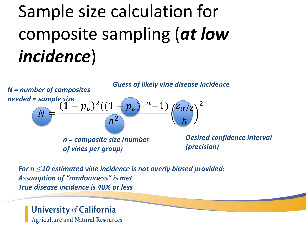# Sample size calculation for composite sampling (*at low incidence*)



*For n* <sup>≤</sup> *10 estimated vine incidence is not overly biased provided: Assumption of "randomness" is met True disease incidence is 40% or less*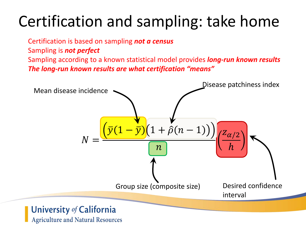# Certification and sampling: take home

Certification is based on sampling *not a census*

Sampling is *not perfect*

Sampling according to a known statistical model provides *long-run known results The long-run known results are what certification "means"*